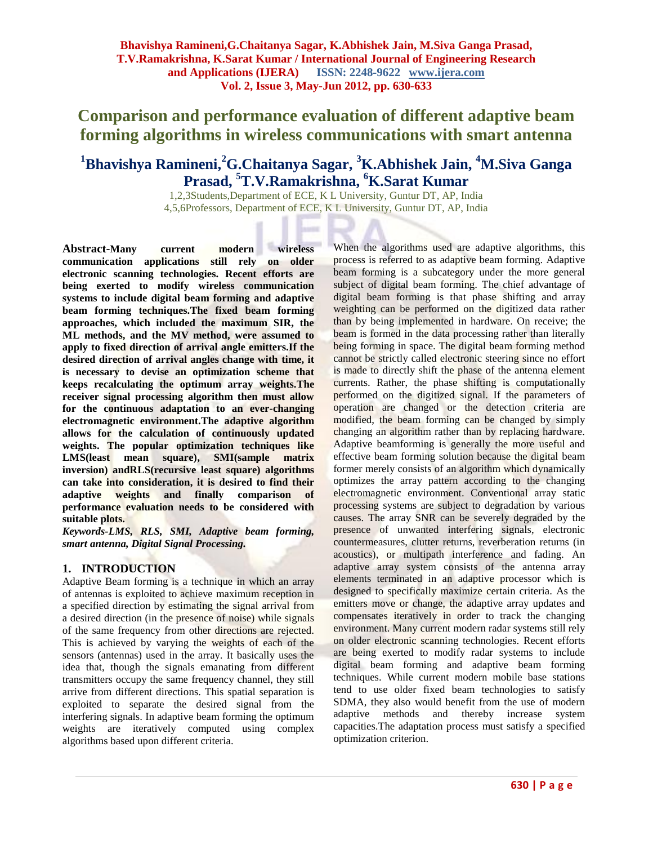# **Comparison and performance evaluation of different adaptive beam forming algorithms in wireless communications with smart antenna**

## **<sup>1</sup>Bhavishya Ramineni,<sup>2</sup>G.Chaitanya Sagar, <sup>3</sup>K.Abhishek Jain, <sup>4</sup>M.Siva Ganga Prasad, <sup>5</sup>T.V.Ramakrishna, <sup>6</sup>K.Sarat Kumar**

1,2,3Students,Department of ECE, K L University, Guntur DT, AP, India 4,5,6Professors, Department of ECE, K L University, Guntur DT, AP, India

**Abstract-Many current modern wireless communication applications still rely on older electronic scanning technologies. Recent efforts are being exerted to modify wireless communication systems to include digital beam forming and adaptive beam forming techniques.The fixed beam forming approaches, which included the maximum SIR, the ML methods, and the MV method, were assumed to apply to fixed direction of arrival angle emitters.If the desired direction of arrival angles change with time, it is necessary to devise an optimization scheme that keeps recalculating the optimum array weights.The receiver signal processing algorithm then must allow for the continuous adaptation to an ever-changing electromagnetic environment.The adaptive algorithm allows for the calculation of continuously updated weights. The popular optimization techniques like LMS(least mean square), SMI(sample matrix inversion) andRLS(recursive least square) algorithms can take into consideration, it is desired to find their adaptive weights and finally comparison of performance evaluation needs to be considered with suitable plots.**

*Keywords-LMS, RLS, SMI, Adaptive beam forming, smart antenna, Digital Signal Processing.*

## **1. INTRODUCTION**

Adaptive Beam forming is a technique in which an array of antennas is exploited to achieve maximum reception in a specified direction by estimating the signal arrival from a desired direction (in the presence of noise) while signals of the same frequency from other directions are rejected. This is achieved by varying the weights of each of the sensors (antennas) used in the array. It basically uses the idea that, though the signals emanating from different transmitters occupy the same frequency channel, they still arrive from different directions. This spatial separation is exploited to separate the desired signal from the interfering signals. In adaptive beam forming the optimum weights are iteratively computed using complex algorithms based upon different criteria.

When the algorithms used are adaptive algorithms, this process is referred to as adaptive beam forming. Adaptive beam forming is a subcategory under the more general subject of digital beam forming. The chief advantage of digital beam forming is that phase shifting and array weighting can be performed on the digitized data rather than by being implemented in hardware. On receive; the beam is formed in the data processing rather than literally being forming in space. The digital beam forming method cannot be strictly called electronic steering since no effort is made to directly shift the phase of the antenna element currents. Rather, the phase shifting is computationally performed on the digitized signal. If the parameters of operation are changed or the detection criteria are modified, the beam forming can be changed by simply changing an algorithm rather than by replacing hardware. Adaptive beamforming is generally the more useful and effective beam forming solution because the digital beam former merely consists of an algorithm which dynamically optimizes the array pattern according to the changing electromagnetic environment. Conventional array static processing systems are subject to degradation by various causes. The array SNR can be severely degraded by the presence of unwanted interfering signals, electronic countermeasures, clutter returns, reverberation returns (in acoustics), or multipath interference and fading. An adaptive array system consists of the antenna array elements terminated in an adaptive processor which is designed to specifically maximize certain criteria. As the emitters move or change, the adaptive array updates and compensates iteratively in order to track the changing environment. Many current modern radar systems still rely on older electronic scanning technologies. Recent efforts are being exerted to modify radar systems to include digital beam forming and adaptive beam forming techniques. While current modern mobile base stations tend to use older fixed beam technologies to satisfy SDMA, they also would benefit from the use of modern adaptive methods and thereby increase system capacities.The adaptation process must satisfy a specified optimization criterion.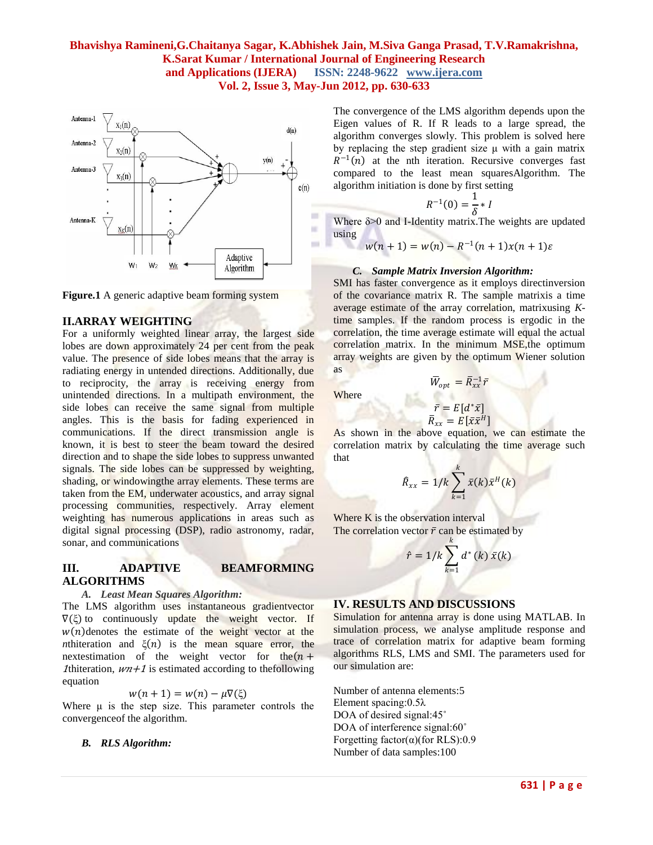**Where** 



**Figure.1** A generic adaptive beam forming system

#### **II.ARRAY WEIGHTING**

For a uniformly weighted linear array, the largest side lobes are down approximately 24 per cent from the peak value. The presence of side lobes means that the array is radiating energy in untended directions. Additionally, due to reciprocity, the array is receiving energy from unintended directions. In a multipath environment, the side lobes can receive the same signal from multiple angles. This is the basis for fading experienced in communications. If the direct transmission angle is known, it is best to steer the beam toward the desired direction and to shape the side lobes to suppress unwanted signals. The side lobes can be suppressed by weighting, shading, or windowingthe array elements. These terms are taken from the EM, underwater acoustics, and array signal processing communities, respectively. Array element weighting has numerous applications in areas such as digital signal processing (DSP), radio astronomy, radar, sonar, and communications

#### **III. ADAPTIVE BEAMFORMING ALGORITHMS**

#### *A. Least Mean Squares Algorithm:*

The LMS algorithm uses instantaneous gradientvector  $\nabla(\xi)$  to continuously update the weight vector. If  $w(n)$  denotes the estimate of the weight vector at the *n*thiteration and  $\xi(n)$  is the mean square error, the nextestimation of the weight vector for the  $(n +$ 1thiteration,  $wn+1$  is estimated according to the following equation

$$
w(n+1) = w(n) - \mu \nabla(\xi)
$$

Where  $\mu$  is the step size. This parameter controls the convergenceof the algorithm.

#### *B. RLS Algorithm:*

The convergence of the LMS algorithm depends upon the Eigen values of R. If R leads to a large spread, the algorithm converges slowly. This problem is solved here by replacing the step gradient size  $\mu$  with a gain matrix  $R^{-1}(n)$  at the nth iteration. Recursive converges fast compared to the least mean squaresAlgorithm. The algorithm initiation is done by first setting

$$
R^{-1}(0) = \frac{1}{\delta} * I
$$

Where δ>0 and I-Identity matrix.The weights are updated using

$$
w(n + 1) = w(n) - R^{-1}(n + 1)x(n + 1)\varepsilon
$$

## *C. Sample Matrix Inversion Algorithm:*

SMI has faster convergence as it employs directinversion of the covariance matrix R. The sample matrixis a time average estimate of the array correlation, matrixusing *K*time samples. If the random process is ergodic in the correlation, the time average estimate will equal the actual correlation matrix. In the minimum MSE, the optimum array weights are given by the optimum Wiener solution as

$$
\bar{W}_{opt} = \bar{R}_{xx}^{-1}
$$

 $\bar{r}$ 

$$
\bar{r} = E[d^*\bar{x}]
$$
  

$$
\bar{R}_{xx} = E[\bar{x}\bar{x}^H]
$$

As shown in the above equation, we can estimate the correlation matrix by calculating the time average such that

$$
\widehat{R}_{xx} = 1/k \sum_{k=1}^{k} \bar{x}(k) \bar{x}^{H}(k)
$$

Where K is the observation interval The correlation vector  $\bar{r}$  can be estimated by

$$
\hat{r} = 1/k \sum_{k=1}^{k} d^*(k) \,\bar{x}(k)
$$

## **IV. RESULTS AND DISCUSSIONS**

Simulation for antenna array is done using MATLAB. In simulation process, we analyse amplitude response and trace of correlation matrix for adaptive beam forming algorithms RLS, LMS and SMI. The parameters used for our simulation are:

Number of antenna elements:5 Element spacing:0.5λ DOA of desired signal:45° DOA of interference signal:60° Forgetting factor(α)(for RLS):0.9 Number of data samples:100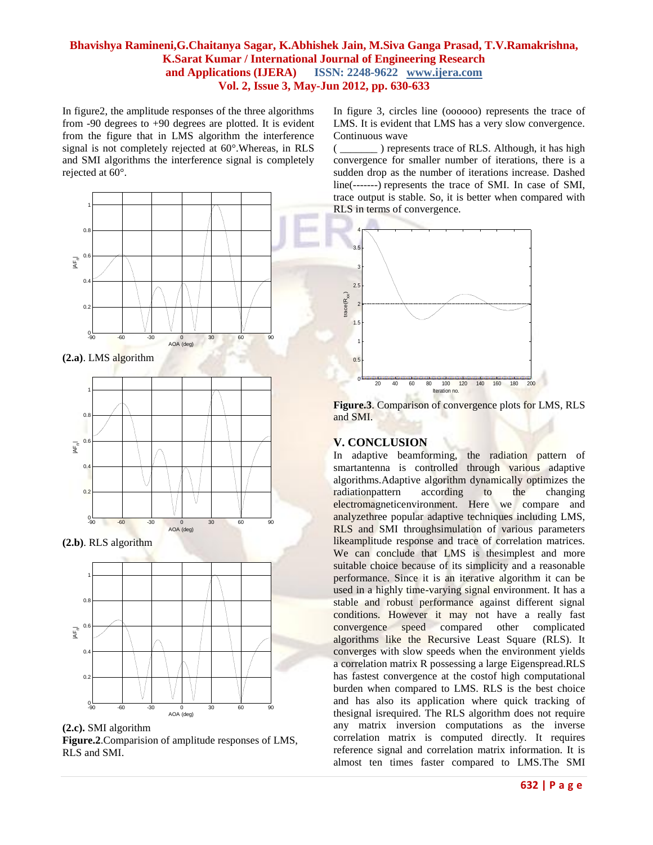In figure2, the amplitude responses of the three algorithms from -90 degrees to +90 degrees are plotted. It is evident from the figure that in LMS algorithm the interference signal is not completely rejected at 60°.Whereas, in RLS and SMI algorithms the interference signal is completely rejected at 60°.



**(2.b)**. RLS algorithm





In figure 3, circles line (oooooo) represents the trace of LMS. It is evident that LMS has a very slow convergence. Continuous wave

( \_\_\_\_\_\_\_ ) represents trace of RLS. Although, it has high convergence for smaller number of iterations, there is a sudden drop as the number of iterations increase. Dashed line(-------) represents the trace of SMI. In case of SMI, trace output is stable. So, it is better when compared with RLS in terms of convergence.



**Figure.3**. Comparison of convergence plots for LMS, RLS and SMI.

## **V. CONCLUSION**

In adaptive beamforming, the radiation pattern of smartantenna is controlled through various adaptive algorithms.Adaptive algorithm dynamically optimizes the radiationpattern according to the changing electromagneticenvironment. Here we compare and analyzethree popular adaptive techniques including LMS, RLS and SMI throughsimulation of various parameters likeamplitude response and trace of correlation matrices. We can conclude that LMS is the<br>simplest and more suitable choice because of its simplicity and a reasonable performance. Since it is an iterative algorithm it can be used in a highly time-varying signal environment. It has a stable and robust performance against different signal conditions. However it may not have a really fast convergence speed compared other complicated algorithms like the Recursive Least Square (RLS). It converges with slow speeds when the environment yields a correlation matrix R possessing a large Eigenspread.RLS has fastest convergence at the costof high computational burden when compared to LMS. RLS is the best choice and has also its application where quick tracking of thesignal isrequired. The RLS algorithm does not require any matrix inversion computations as the inverse correlation matrix is computed directly. It requires reference signal and correlation matrix information. It is almost ten times faster compared to LMS.The SMI